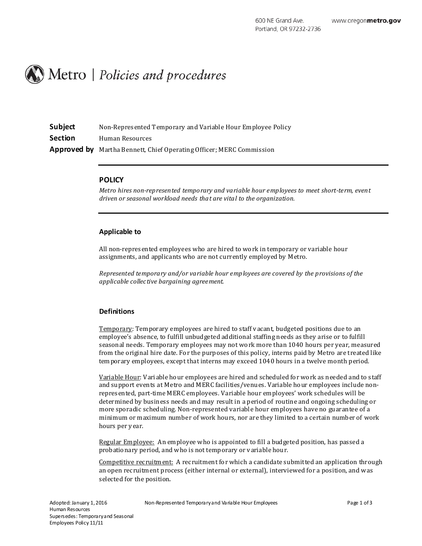

| Subject        | Non-Represented Temporary and Variable Hour Employee Policy                 |
|----------------|-----------------------------------------------------------------------------|
| <b>Section</b> | Human Resources                                                             |
|                | <b>Approved by</b> Martha Bennett, Chief Operating Officer; MERC Commission |

### **POLICY**

*Metro hires non-represented temporary and variable hour employees to meet short-term, event driven or seasonal workload needs that are vital to the organization.*

#### **Applicable to**

All non-represented employees who are hired to work in temporary or variable hour assignments, and applicants who are not currently employed by Metro.

*Represented temporary and/or variable hour employees are covered by the provisions of the applicable collective bargaining agreement.*

## **Definitions**

Temporary: Temporary employees are hired to staff v acant, budgeted positions due to an employee's absence, to fulfill unbudgeted additional staffing needs as they arise or to fulfill seasonal needs. Temporary employees may not work more than 1040 hours per year, measured from the original hire date. For the purposes of this policy, interns paid by Metro are treated like temporary employees, except that interns may exceed 1040 hours in a twelve month period.

Variable Hour: Variable hour employees are hired and scheduled for work as needed and to staff and support events at Metro and MERC facilities/venues. Variable hour employees include nonrepresented, part-time MERC employees. Variable hour employees' work schedules will be determined by business needs and may result in a period of routine and ongoing scheduling or more sporadic scheduling. Non-represented variable hour employees have no guarantee of a minimum or maximum number of work hours, nor are they limited to a certain number of work hours per y ear.

Regular Employee: An employee who is appointed to fill a budgeted position, has passed a probationary period, and who is not temporary or v ariable hour.

Competitive recruitment: A recruitment for which a candidate submitted an application through an open recruitment process (either internal or external), interviewed for a position, and was selected for the position.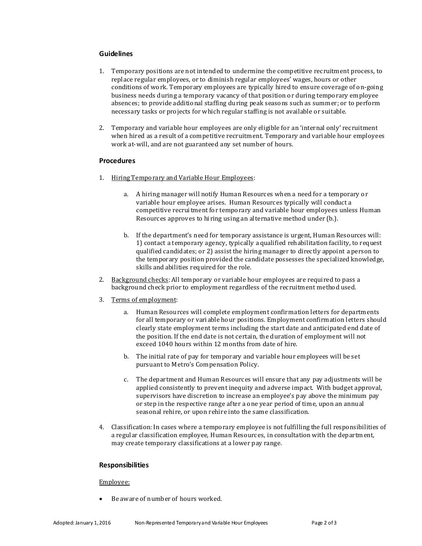# **Guidelines**

- 1. Temporary positions are not intended to undermine the competitive recruitment process, to repl ace regular employees, or to diminish regul ar employees' wages, hours or other conditions of work. Temporary employees are typically hired to ensure coverage of on-going business needs during a temporary vacancy of that position or during temporary employee absences; to provide additional staffing during peak seasons such as summer; or to perform necessary tasks or projects for which regular staffing is not available or suitable.
- 2. Temporary and variable hour employees are only eligible for an 'internal only' recruitment when hired as a result of a competitive recruitment. Temporary and variable hour employees work at-will, and are not guaranteed any set number of hours.

# **Procedures**

- 1. Hiring Temporary and Variable Hour Employees:
	- a. A hiring manager will notify Human Resources when a need for a temporary or variable hour employee arises. Human Resources typically will conduct a competitive recruitment for temporary and variable hour employees unless Human Resources approv es to hiring using an al ternative method under (b.).
	- b. If the department's need for temporary assistance is urgent, Human Resources will: 1) contact a temporary agency, typically a qualified rehabilitation facility, to request qualified candidates; or 2) assist the hiring manager to directly appoint a person to the temporary position provided the candidate possesses the specialized knowledge, skills and abilities required for the role.
- 2. Background checks: All temporary or variable hour employees are required to pass a background check prior to employment regardless of the recruitment method used.
- 3. Terms of employment:
	- a. Human Resources will complete employment confirmation letters for departments for all temporary or variable hour positions. Employment confirmation l etters should clearly state employment terms including the start date and anticipated end date of the position. If the end date is not certain, the duration of employment will not exceed 1040 hours within 12 months from date of hire.
	- b. The initial rate of pay for temporary and variabl e hour employees will be set pursuant to Metro's Compensation Policy.
	- c. The department and Human Resources will ensure that any pay adjustments will be applied consistently to prev ent inequity and adverse impact. With budget approval, supervisors have discretion to increase an employee's pay above the minimum pay or step in the respective range after a one year period of time, upon an annual seasonal rehire, or upon rehire into the same classification.
- 4. Classification: In cases where a temporary employee is not fulfilling the full responsibilities of a regul ar classification employee, Human Resources, in consultation with the department, may create temporary classifications at a lower pay range.

## **Responsibilities**

## Employee:

Be aware of number of hours worked.